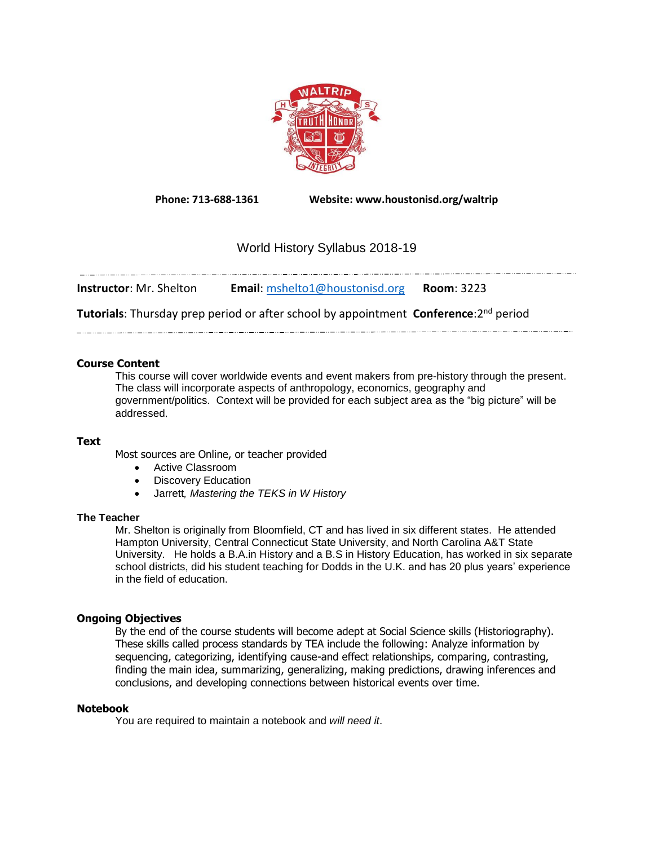

**Phone: 713-688-1361 Website: www.houstonisd.org/waltrip**

# World History Syllabus 2018-19

| <b>Instructor</b> : Mr. Shelton | <b>Email:</b> mshelto1@houstonisd.org | <b>Room: 3223</b> |
|---------------------------------|---------------------------------------|-------------------|

**Tutorials**: Thursday prep period or after school by appointment **Conference**:2 nd period

# **Course Content**

This course will cover worldwide events and event makers from pre-history through the present. The class will incorporate aspects of anthropology, economics, geography and government/politics. Context will be provided for each subject area as the "big picture" will be addressed.

## **Text**

Most sources are Online, or teacher provided

- Active Classroom
- Discovery Education
- Jarrett*, Mastering the TEKS in W History*

## **The Teacher**

Mr. Shelton is originally from Bloomfield, CT and has lived in six different states. He attended Hampton University, Central Connecticut State University, and North Carolina A&T State University. He holds a B.A.in History and a B.S in History Education, has worked in six separate school districts, did his student teaching for Dodds in the U.K. and has 20 plus years' experience in the field of education.

# **Ongoing Objectives**

By the end of the course students will become adept at Social Science skills (Historiography). These skills called process standards by TEA include the following: Analyze information by sequencing, categorizing, identifying cause-and effect relationships, comparing, contrasting, finding the main idea, summarizing, generalizing, making predictions, drawing inferences and conclusions, and developing connections between historical events over time.

## **Notebook**

You are required to maintain a notebook and *will need it*.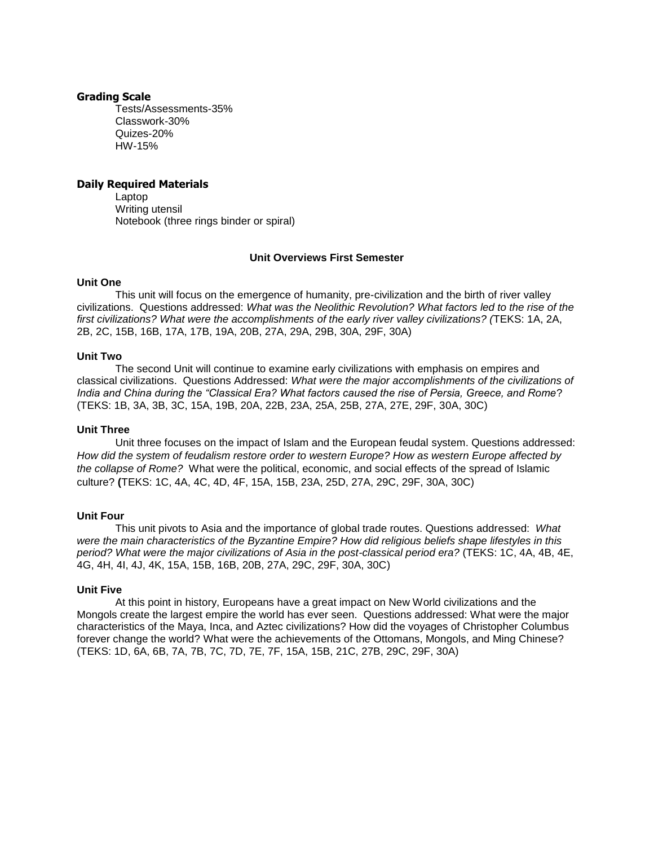#### **Grading Scale**

Tests/Assessments-35% Classwork-30% Quizes-20% HW-15%

## **Daily Required Materials**

Laptop Writing utensil Notebook (three rings binder or spiral)

# **Unit Overviews First Semester**

## **Unit One**

This unit will focus on the emergence of humanity, pre-civilization and the birth of river valley civilizations. Questions addressed: *What was the Neolithic Revolution? What factors led to the rise of the first civilizations? What were the accomplishments of the early river valley civilizations? (*TEKS: 1A, 2A, 2B, 2C, 15B, 16B, 17A, 17B, 19A, 20B, 27A, 29A, 29B, 30A, 29F, 30A)

## **Unit Two**

The second Unit will continue to examine early civilizations with emphasis on empires and classical civilizations. Questions Addressed: *What were the major accomplishments of the civilizations of India and China during the "Classical Era? What factors caused the rise of Persia, Greece, and Rome*? (TEKS: 1B, 3A, 3B, 3C, 15A, 19B, 20A, 22B, 23A, 25A, 25B, 27A, 27E, 29F, 30A, 30C)

## **Unit Three**

Unit three focuses on the impact of Islam and the European feudal system. Questions addressed: *How did the system of feudalism restore order to western Europe? How as western Europe affected by the collapse of Rome?* What were the political, economic, and social effects of the spread of Islamic culture? **(**TEKS: 1C, 4A, 4C, 4D, 4F, 15A, 15B, 23A, 25D, 27A, 29C, 29F, 30A, 30C)

## **Unit Four**

This unit pivots to Asia and the importance of global trade routes. Questions addressed: *What were the main characteristics of the Byzantine Empire? How did religious beliefs shape lifestyles in this period? What were the major civilizations of Asia in the post-classical period era?* (TEKS: 1C, 4A, 4B, 4E, 4G, 4H, 4I, 4J, 4K, 15A, 15B, 16B, 20B, 27A, 29C, 29F, 30A, 30C)

## **Unit Five**

At this point in history, Europeans have a great impact on New World civilizations and the Mongols create the largest empire the world has ever seen. Questions addressed: What were the major characteristics of the Maya, Inca, and Aztec civilizations? How did the voyages of Christopher Columbus forever change the world? What were the achievements of the Ottomans, Mongols, and Ming Chinese? (TEKS: 1D, 6A, 6B, 7A, 7B, 7C, 7D, 7E, 7F, 15A, 15B, 21C, 27B, 29C, 29F, 30A)